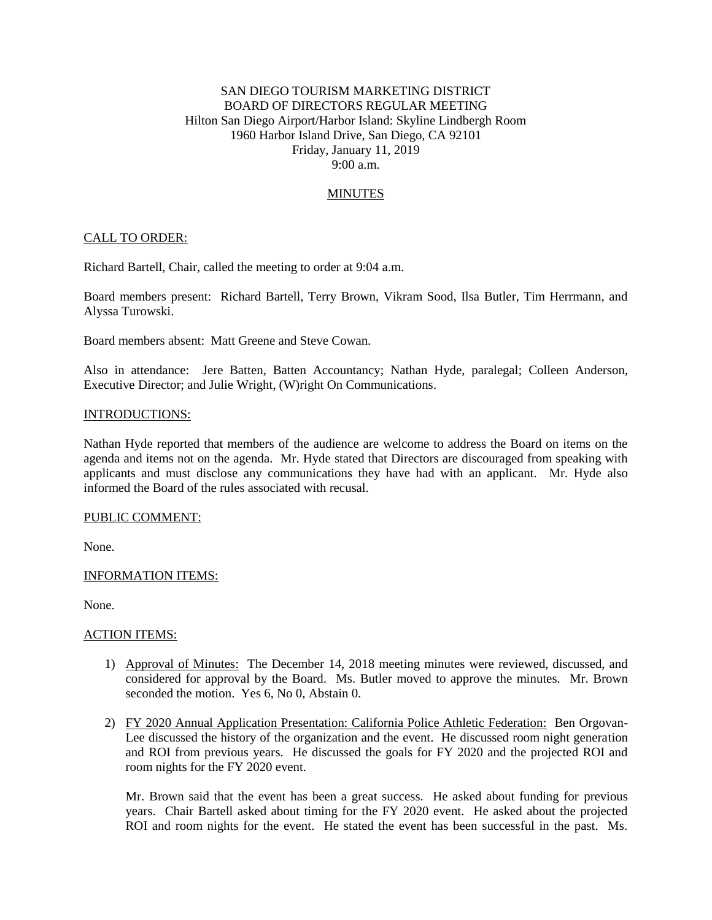# SAN DIEGO TOURISM MARKETING DISTRICT BOARD OF DIRECTORS REGULAR MEETING Hilton San Diego Airport/Harbor Island: Skyline Lindbergh Room 1960 Harbor Island Drive, San Diego, CA 92101 Friday, January 11, 2019 9:00 a.m.

# **MINUTES**

## CALL TO ORDER:

Richard Bartell, Chair, called the meeting to order at 9:04 a.m.

Board members present: Richard Bartell, Terry Brown, Vikram Sood, Ilsa Butler, Tim Herrmann, and Alyssa Turowski.

Board members absent: Matt Greene and Steve Cowan.

Also in attendance: Jere Batten, Batten Accountancy; Nathan Hyde, paralegal; Colleen Anderson, Executive Director; and Julie Wright, (W)right On Communications.

#### INTRODUCTIONS:

Nathan Hyde reported that members of the audience are welcome to address the Board on items on the agenda and items not on the agenda. Mr. Hyde stated that Directors are discouraged from speaking with applicants and must disclose any communications they have had with an applicant. Mr. Hyde also informed the Board of the rules associated with recusal.

## PUBLIC COMMENT:

None.

### INFORMATION ITEMS:

None.

### ACTION ITEMS:

- 1) Approval of Minutes: The December 14, 2018 meeting minutes were reviewed, discussed, and considered for approval by the Board. Ms. Butler moved to approve the minutes. Mr. Brown seconded the motion. Yes 6, No 0, Abstain 0.
- 2) FY 2020 Annual Application Presentation: California Police Athletic Federation: Ben Orgovan-Lee discussed the history of the organization and the event. He discussed room night generation and ROI from previous years. He discussed the goals for FY 2020 and the projected ROI and room nights for the FY 2020 event.

Mr. Brown said that the event has been a great success. He asked about funding for previous years. Chair Bartell asked about timing for the FY 2020 event. He asked about the projected ROI and room nights for the event. He stated the event has been successful in the past. Ms.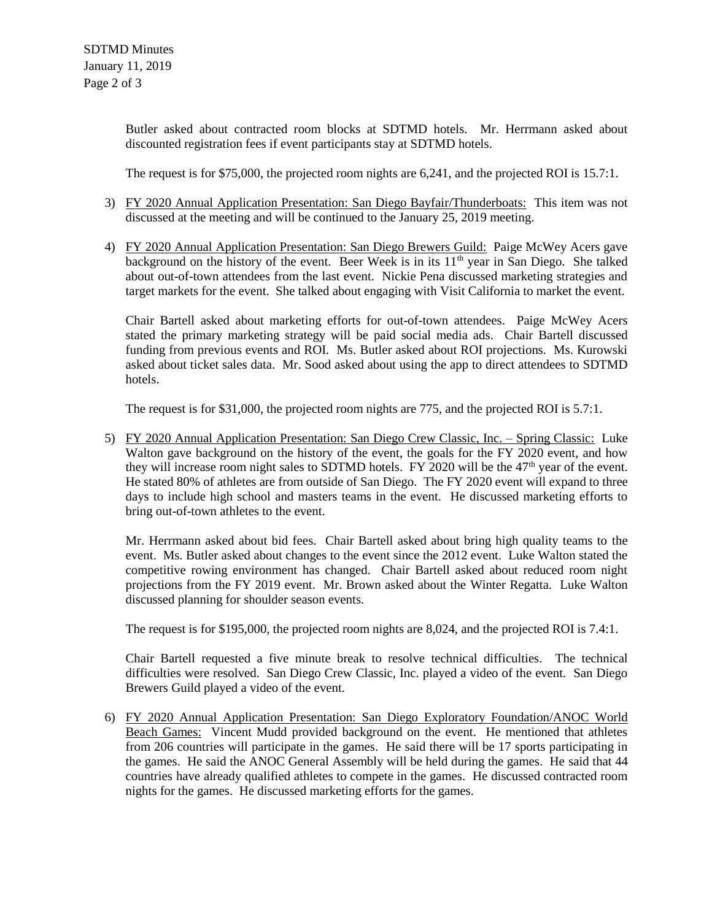Butler asked about contracted room blocks at SDTMD hotels. Mr. Herrmann asked about discounted registration fees if event participants stay at SDTMD hotels.

The request is for \$75,000, the projected room nights are 6,241, and the projected ROI is 15.7:1.

- 3) FY 2020 Annual Application Presentation: San Diego Bayfair/Thunderboats: This item was not discussed at the meeting and will be continued to the January 25, 2019 meeting.
- 4) FY 2020 Annual Application Presentation: San Diego Brewers Guild: Paige McWey Acers gave background on the history of the event. Beer Week is in its  $11<sup>th</sup>$  year in San Diego. She talked about out-of-town attendees from the last event. Nickie Pena discussed marketing strategies and target markets for the event. She talked about engaging with Visit California to market the event.

Chair Bartell asked about marketing efforts for out-of-town attendees. Paige McWey Acers stated the primary marketing strategy will be paid social media ads. Chair Bartell discussed funding from previous events and ROI. Ms. Butler asked about ROI projections. Ms. Kurowski asked about ticket sales data. Mr. Sood asked about using the app to direct attendees to SDTMD hotels.

The request is for \$31,000, the projected room nights are 775, and the projected ROI is 5.7:1.

5) FY 2020 Annual Application Presentation: San Diego Crew Classic, Inc. – Spring Classic: Luke Walton gave background on the history of the event, the goals for the FY 2020 event, and how they will increase room night sales to SDTMD hotels. FY 2020 will be the  $47<sup>th</sup>$  year of the event. He stated 80% of athletes are from outside of San Diego. The FY 2020 event will expand to three days to include high school and masters teams in the event. He discussed marketing efforts to bring out-of-town athletes to the event.

Mr. Herrmann asked about bid fees. Chair Bartell asked about bring high quality teams to the event. Ms. Butler asked about changes to the event since the 2012 event. Luke Walton stated the competitive rowing environment has changed. Chair Bartell asked about reduced room night projections from the FY 2019 event. Mr. Brown asked about the Winter Regatta. Luke Walton discussed planning for shoulder season events.

The request is for \$195,000, the projected room nights are 8,024, and the projected ROI is 7.4:1.

Chair Bartell requested a five minute break to resolve technical difficulties. The technical difficulties were resolved. San Diego Crew Classic, Inc. played a video of the event. San Diego Brewers Guild played a video of the event.

6) FY 2020 Annual Application Presentation: San Diego Exploratory Foundation/ANOC World Beach Games: Vincent Mudd provided background on the event. He mentioned that athletes from 206 countries will participate in the games. He said there will be 17 sports participating in the games. He said the ANOC General Assembly will be held during the games. He said that 44 countries have already qualified athletes to compete in the games. He discussed contracted room nights for the games. He discussed marketing efforts for the games.